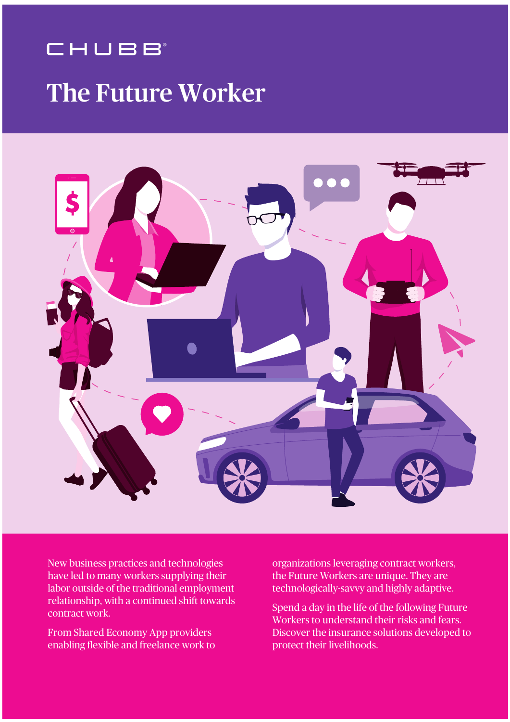# The Future Worker



New business practices and technologies have led to many workers supplying their labor outside of the traditional employment relationship, with a continued shift towards contract work.

From Shared Economy App providers enabling flexible and freelance work to organizations leveraging contract workers, the Future Workers are unique. They are technologically-savvy and highly adaptive.

Spend a day in the life of the following Future Workers to understand their risks and fears. Discover the insurance solutions developed to protect their livelihoods.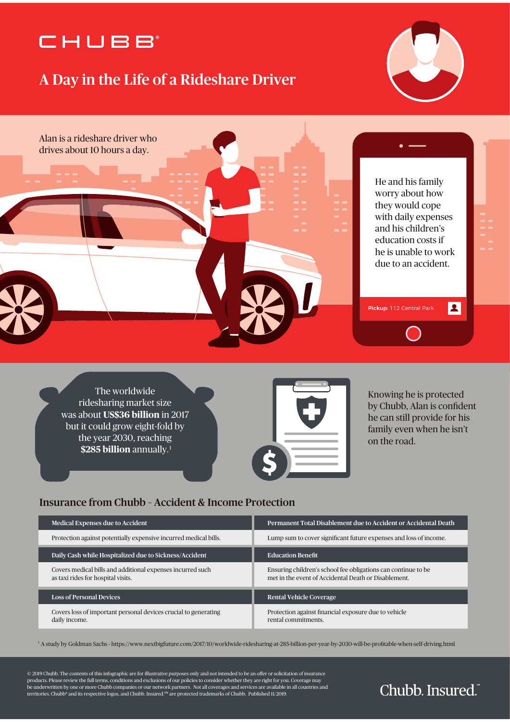#### A Day in the Life of a Rideshare Driver





The worldwide ridesharing market size was about **US\$36 billion** in 2017 but it could grow eight-fold by the year 2030, reaching **\$285 billion** annually. 1



Knowing he is protected by Chubb, Alan is confident he can still provide for his family even when he isn't on the road.

#### Insurance from Chubb – Accident & Income Protection

| <b>Medical Expenses due to Accident</b>                                                          | Permanent Total Disablement due to Accident or Accidental Death                                                       |
|--------------------------------------------------------------------------------------------------|-----------------------------------------------------------------------------------------------------------------------|
| Protection against potentially expensive incurred medical bills.                                 | Lump sum to cover significant future expenses and loss of income.                                                     |
| Daily Cash while Hospitalized due to Sickness/Accident                                           | <b>Education Benefit</b>                                                                                              |
| Covers medical bills and additional expenses incurred such<br>as taxi rides for hospital visits. | Ensuring children's school fee obligations can continue to be<br>met in the event of Accidental Death or Disablement. |
| <b>Loss of Personal Devices</b>                                                                  | <b>Rental Vehicle Coverage</b>                                                                                        |
| Covers loss of important personal devices crucial to generating<br>daily income.                 | Protection against financial exposure due to vehicle<br>rental commitments.                                           |

<sup>1</sup> A study by Goldman Sachs - https://www.nextbigfuture.com/2017/10/worldwide-ridesharing-at-285-billion-per-year-by-2030-will-be-profitable-when-self-driving.html

 $©$  2019 Chubb. The contents of this infographic are for illustrative purposes only and not intended to be an offer or solicitation of insurance products. Please review the full terms, conditions and exclusions of our policies to consider whether they are right for you. Coverage may<br>be underwritten by one or more Chubb companies or our network partners. Not all cov territories. Chubb® and its respective logos, and Chubb. Insured.SM are protected trademarks of Chubb. Published 11/2019.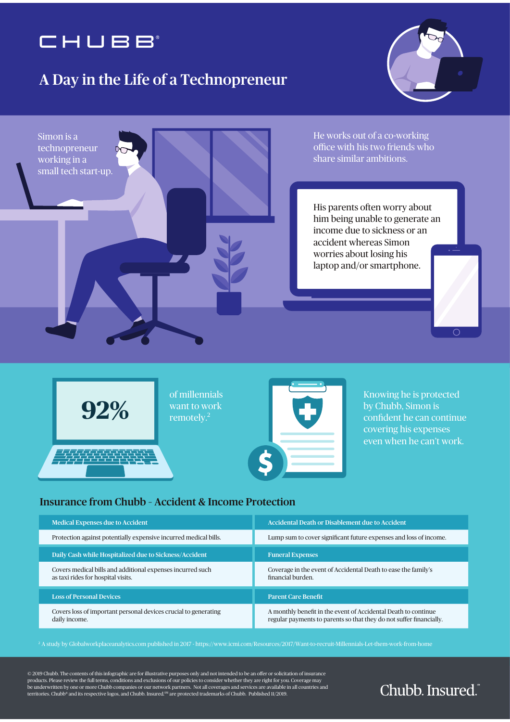#### A Day in the Life of a Technopreneur









Knowing he is protected by Chubb, Simon is confident he can continue covering his expenses even when he can't work.

#### Insurance from Chubb – Accident & Income Protection

| <b>Medical Expenses due to Accident</b>                                                          | <b>Accidental Death or Disablement due to Accident</b>                                                                                |
|--------------------------------------------------------------------------------------------------|---------------------------------------------------------------------------------------------------------------------------------------|
| Protection against potentially expensive incurred medical bills.                                 | Lump sum to cover significant future expenses and loss of income.                                                                     |
| Daily Cash while Hospitalized due to Sickness/Accident                                           | <b>Funeral Expenses</b>                                                                                                               |
| Covers medical bills and additional expenses incurred such<br>as taxi rides for hospital visits. | Coverage in the event of Accidental Death to ease the family's<br>financial burden.                                                   |
| <b>Loss of Personal Devices</b>                                                                  | <b>Parent Care Benefit</b>                                                                                                            |
| Covers loss of important personal devices crucial to generating<br>daily income.                 | A monthly benefit in the event of Accidental Death to continue<br>regular payments to parents so that they do not suffer financially. |

2 A study by Globalworkplaceanalytics.com published in 2017 - https://www.icmi.com/Resources/2017/Want-to-recruit-Millennials-Let-them-work-from-home

 $©$  2019 Chubb. The contents of this infographic are for illustrative purposes only and not intended to be an offer or solicitation of insurance products. Please review the full terms, conditions and exclusions of our policies to consider whether they are right for you. Coverage may<br>be underwritten by one or more Chubb companies or our network partners. Not all cov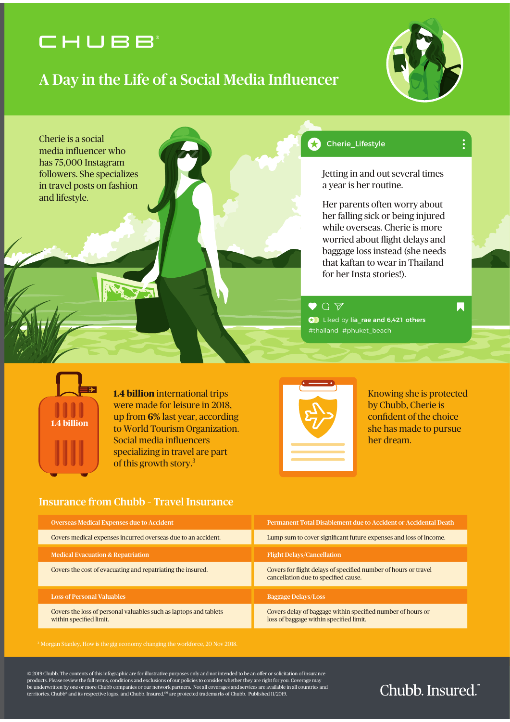#### A Day in the Life of a Social Media Influencer







**1.4 billion** international trips were made for leisure in 2018, up from **6%** last year, according to World Tourism Organization. Social media influencers specializing in travel are part of this growth story. 3



Knowing she is protected by Chubb, Cherie is confident of the choice she has made to pursue her dream.

#### Insurance from Chubb – Travel Insurance

| <b>Overseas Medical Expenses due to Accident</b>                                             | Permanent Total Disablement due to Accident or Accidental Death                                         |
|----------------------------------------------------------------------------------------------|---------------------------------------------------------------------------------------------------------|
| Covers medical expenses incurred overseas due to an accident.                                | Lump sum to cover significant future expenses and loss of income.                                       |
| <b>Medical Evacuation &amp; Repatriation</b>                                                 | <b>Flight Delays/Cancellation</b>                                                                       |
| Covers the cost of evacuating and repatriating the insured.                                  | Covers for flight delays of specified number of hours or travel<br>cancellation due to specified cause. |
| <b>Loss of Personal Valuables</b>                                                            | <b>Baggage Delays/Loss</b>                                                                              |
| Covers the loss of personal valuables such as laptops and tablets<br>within specified limit. | Covers delay of baggage within specified number of hours or<br>loss of baggage within specified limit.  |

 $©$  2019 Chubb. The contents of this infographic are for illustrative purposes only and not intended to be an offer or solicitation of insurance products. Please review the full terms, conditions and exclusions of our policies to consider whether they are right for you. Coverage may<br>be underwritten by one or more Chubb companies or our network partners. Not all cov territories. Chubb® and its respective logos, and Chubb. Insured. SM are protected trademarks of Chubb. Published 11/2019.